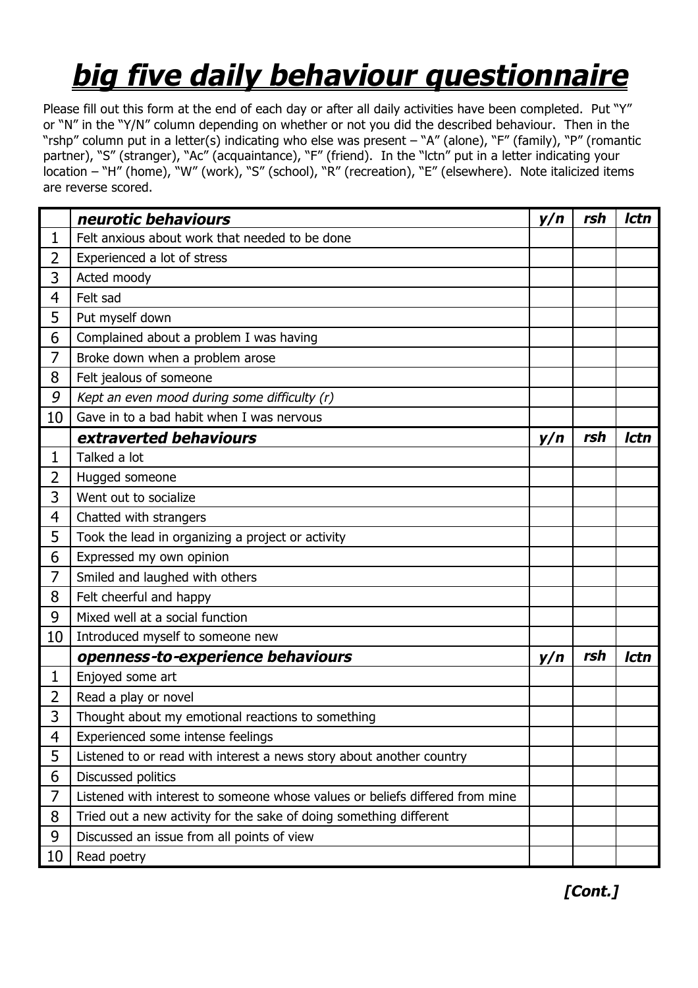## *big five daily behaviour questionnaire*

Please fill out this form at the end of each day or after all daily activities have been completed. Put "Y" or "N" in the "Y/N" column depending on whether or not you did the described behaviour. Then in the "rshp" column put in a letter(s) indicating who else was present – "A" (alone), "F" (family), "P" (romantic partner), "S" (stranger), "Ac" (acquaintance), "F" (friend). In the "lctn" put in a letter indicating your location – "H" (home), "W" (work), "S" (school), "R" (recreation), "E" (elsewhere). Note italicized items are reverse scored.

|                | neurotic behaviours                                                          | y/n | rsh | Ictn |
|----------------|------------------------------------------------------------------------------|-----|-----|------|
| 1              | Felt anxious about work that needed to be done                               |     |     |      |
| 2              | Experienced a lot of stress                                                  |     |     |      |
| 3              | Acted moody                                                                  |     |     |      |
| 4              | Felt sad                                                                     |     |     |      |
| 5              | Put myself down                                                              |     |     |      |
| 6              | Complained about a problem I was having                                      |     |     |      |
| 7              | Broke down when a problem arose                                              |     |     |      |
| 8              | Felt jealous of someone                                                      |     |     |      |
| 9              | Kept an even mood during some difficulty (r)                                 |     |     |      |
| 10             | Gave in to a bad habit when I was nervous                                    |     |     |      |
|                | extraverted behaviours                                                       | y/n | rsh | Ictn |
| $\mathbf{1}$   | Talked a lot                                                                 |     |     |      |
| $\overline{2}$ | Hugged someone                                                               |     |     |      |
| 3              | Went out to socialize                                                        |     |     |      |
| 4              | Chatted with strangers                                                       |     |     |      |
| 5              | Took the lead in organizing a project or activity                            |     |     |      |
| 6              | Expressed my own opinion                                                     |     |     |      |
| 7              | Smiled and laughed with others                                               |     |     |      |
| 8              | Felt cheerful and happy                                                      |     |     |      |
| 9              | Mixed well at a social function                                              |     |     |      |
| 10             | Introduced myself to someone new                                             |     |     |      |
|                | openness-to-experience behaviours                                            | y/n | rsh | Ictn |
| 1              | Enjoyed some art                                                             |     |     |      |
| $\overline{2}$ | Read a play or novel                                                         |     |     |      |
| 3              | Thought about my emotional reactions to something                            |     |     |      |
| 4              | Experienced some intense feelings                                            |     |     |      |
| 5              | Listened to or read with interest a news story about another country         |     |     |      |
| 6              | Discussed politics                                                           |     |     |      |
| 7              | Listened with interest to someone whose values or beliefs differed from mine |     |     |      |
| 8              | Tried out a new activity for the sake of doing something different           |     |     |      |
| 9              | Discussed an issue from all points of view                                   |     |     |      |
| 10             | Read poetry                                                                  |     |     |      |

 *[Cont.]*